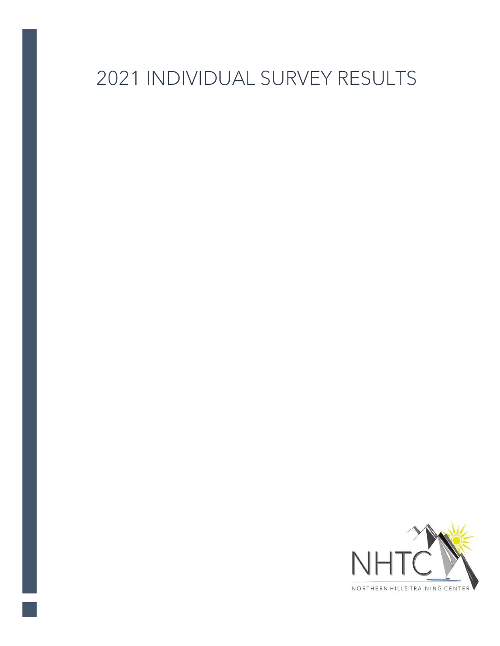## 2021 INDIVIDUAL SURVEY RESULTS

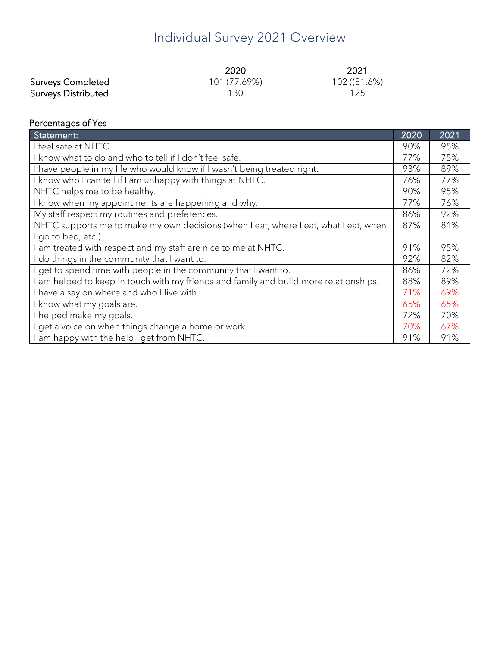## Individual Survey 2021 Overview

|                            | 2020         | 2021         |
|----------------------------|--------------|--------------|
| <b>Surveys Completed</b>   | 101 (77.69%) | 102 ((81.6%) |
| <b>Surveys Distributed</b> | 130          | 125          |

## Percentages of Yes

| Statement:                                                                           |  | 2021 |
|--------------------------------------------------------------------------------------|--|------|
| I feel safe at NHTC.                                                                 |  | 95%  |
| know what to do and who to tell if I don't feel safe.                                |  | 75%  |
| have people in my life who would know if I wasn't being treated right.               |  | 89%  |
| know who I can tell if I am unhappy with things at NHTC.                             |  | 77%  |
| NHTC helps me to be healthy.                                                         |  | 95%  |
| know when my appointments are happening and why.                                     |  | 76%  |
| My staff respect my routines and preferences.                                        |  | 92%  |
| NHTC supports me to make my own decisions (when I eat, where I eat, what I eat, when |  | 81%  |
| go to bed, etc.).                                                                    |  |      |
| am treated with respect and my staff are nice to me at NHTC.                         |  | 95%  |
| do things in the community that I want to.                                           |  | 82%  |
| get to spend time with people in the community that I want to.                       |  | 72%  |
| am helped to keep in touch with my friends and family and build more relationships.  |  | 89%  |
| I have a say on where and who I live with.                                           |  | 69%  |
| know what my goals are.                                                              |  | 65%  |
| helped make my goals.                                                                |  | 70%  |
| get a voice on when things change a home or work.                                    |  | 67%  |
| am happy with the help I get from NHTC.                                              |  | 91%  |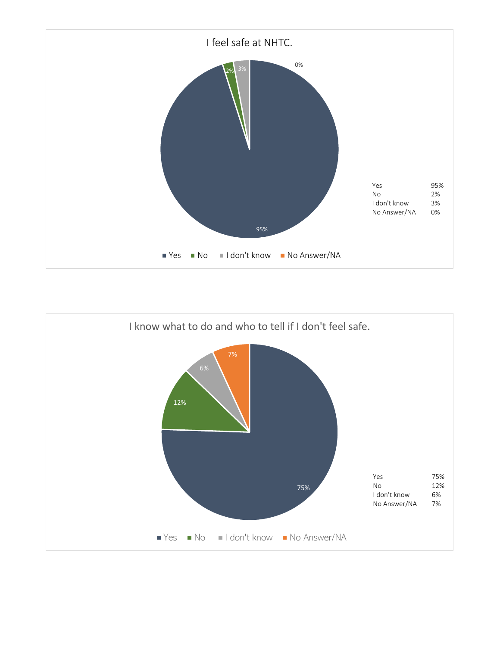

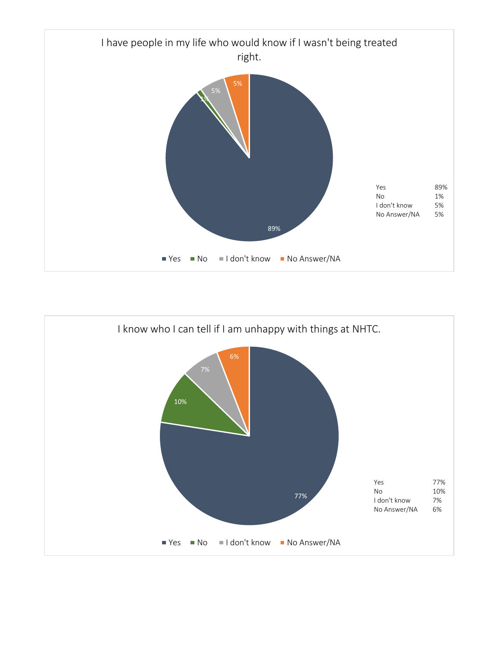

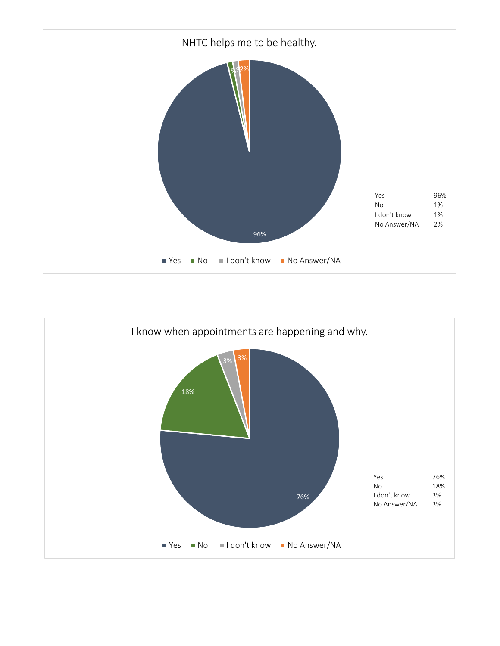

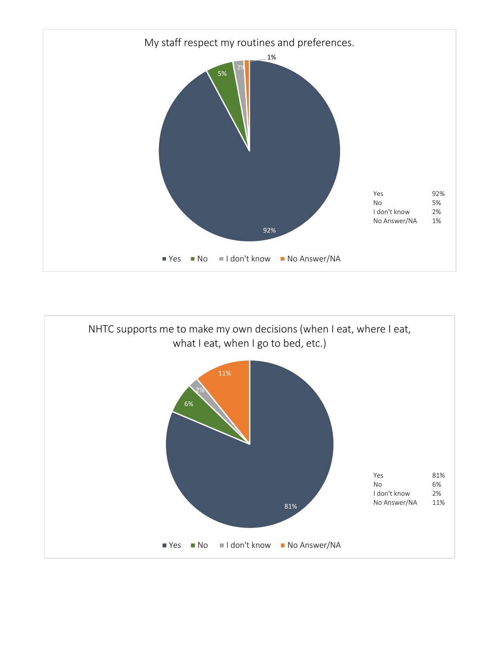

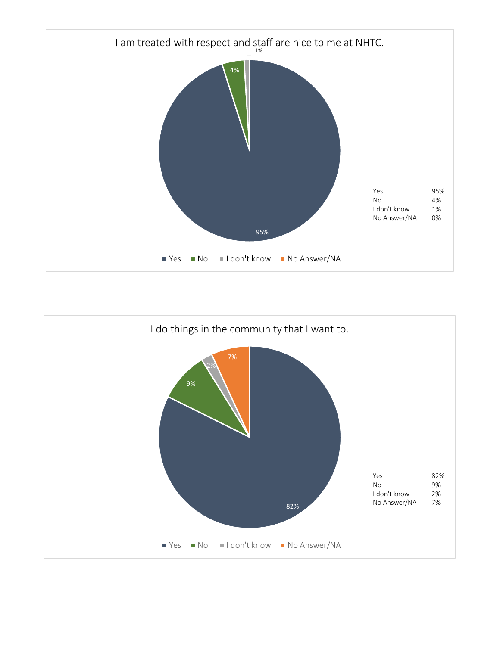

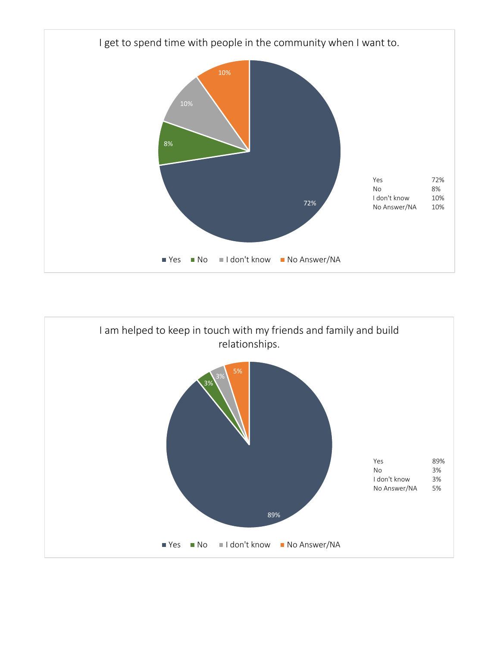

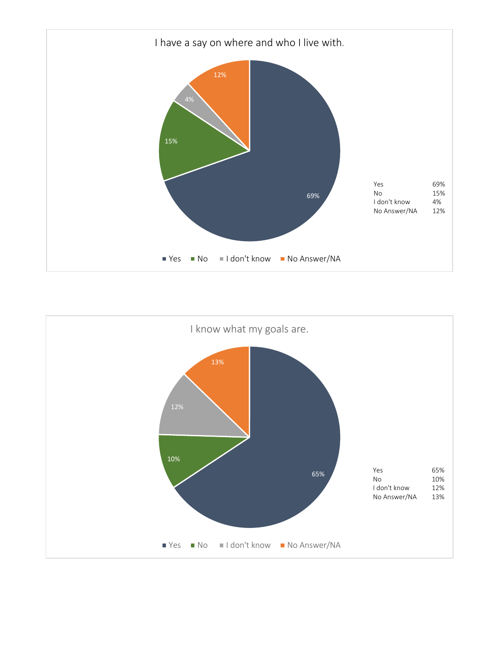

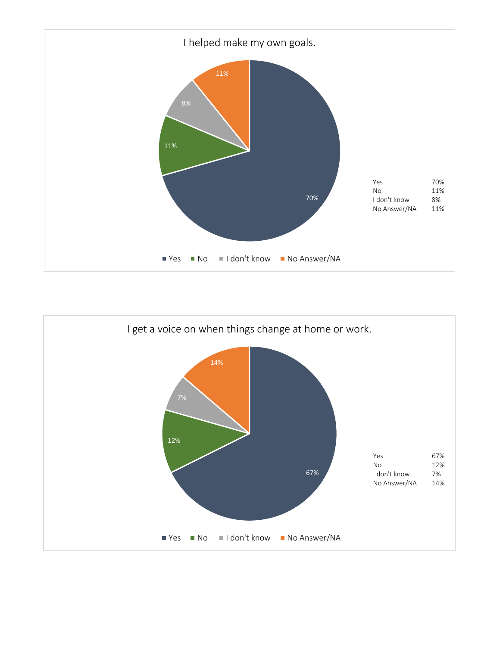

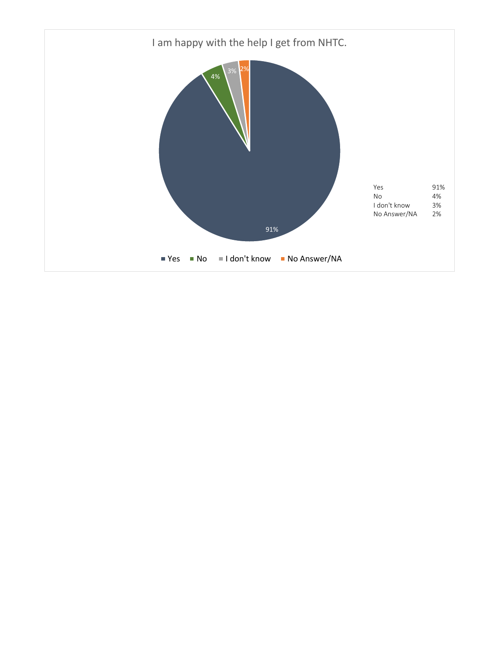